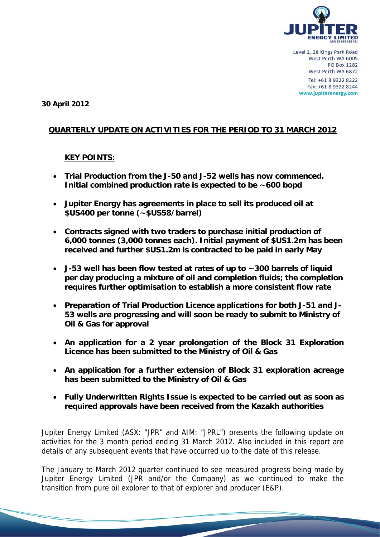

**30 April 2012** 

## **QUARTERLY UPDATE ON ACTIVITIES FOR THE PERIOD TO 31 MARCH 2012**

### **KEY POINTS:**

- **Trial Production from the J-50 and J-52 wells has now commenced. Initial combined production rate is expected to be ~600 bopd**
- **Jupiter Energy has agreements in place to sell its produced oil at \$US400 per tonne (~\$US58/barrel)**
- **Contracts signed with two traders to purchase initial production of 6,000 tonnes (3,000 tonnes each). Initial payment of \$US1.2m has been received and further \$US1.2m is contracted to be paid in early May**
- **J-53 well has been flow tested at rates of up to ~300 barrels of liquid per day producing a mixture of oil and completion fluids; the completion requires further optimisation to establish a more consistent flow rate**
- **Preparation of Trial Production Licence applications for both J-51 and J-53 wells are progressing and will soon be ready to submit to Ministry of Oil & Gas for approval**
- **An application for a 2 year prolongation of the Block 31 Exploration Licence has been submitted to the Ministry of Oil & Gas**
- **An application for a further extension of Block 31 exploration acreage has been submitted to the Ministry of Oil & Gas**
- **Fully Underwritten Rights Issue is expected to be carried out as soon as required approvals have been received from the Kazakh authorities**

Jupiter Energy Limited (ASX: "JPR" and AIM: "JPRL") presents the following update on activities for the 3 month period ending 31 March 2012. Also included in this report are details of any subsequent events that have occurred up to the date of this release.

The January to March 2012 quarter continued to see measured progress being made by Jupiter Energy Limited (JPR and/or the Company) as we continued to make the transition from pure oil explorer to that of explorer and producer (E&P).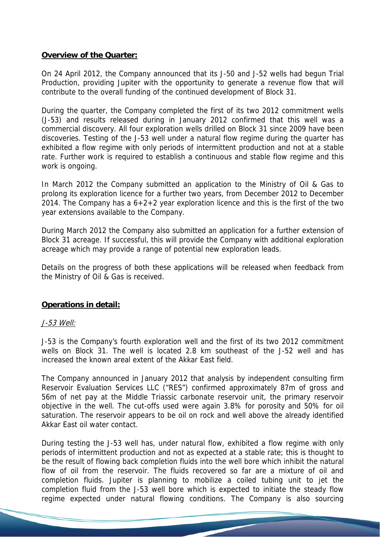# **Overview of the Quarter:**

On 24 April 2012, the Company announced that its J-50 and J-52 wells had begun Trial Production, providing Jupiter with the opportunity to generate a revenue flow that will contribute to the overall funding of the continued development of Block 31.

During the quarter, the Company completed the first of its two 2012 commitment wells (J-53) and results released during in January 2012 confirmed that this well was a commercial discovery. All four exploration wells drilled on Block 31 since 2009 have been discoveries. Testing of the J-53 well under a natural flow regime during the quarter has exhibited a flow regime with only periods of intermittent production and not at a stable rate. Further work is required to establish a continuous and stable flow regime and this work is ongoing.

In March 2012 the Company submitted an application to the Ministry of Oil & Gas to prolong its exploration licence for a further two years, from December 2012 to December 2014. The Company has a  $6+2+2$  year exploration licence and this is the first of the two year extensions available to the Company.

During March 2012 the Company also submitted an application for a further extension of Block 31 acreage. If successful, this will provide the Company with additional exploration acreage which may provide a range of potential new exploration leads.

Details on the progress of both these applications will be released when feedback from the Ministry of Oil & Gas is received.

# **Operations in detail:**

### J-53 Well:

J-53 is the Company's fourth exploration well and the first of its two 2012 commitment wells on Block 31. The well is located 2.8 km southeast of the J-52 well and has increased the known areal extent of the Akkar East field.

The Company announced in January 2012 that analysis by independent consulting firm Reservoir Evaluation Services LLC ("RES") confirmed approximately 87m of gross and 56m of net pay at the Middle Triassic carbonate reservoir unit, the primary reservoir objective in the well. The cut-offs used were again 3.8% for porosity and 50% for oil saturation. The reservoir appears to be oil on rock and well above the already identified Akkar East oil water contact.

During testing the J-53 well has, under natural flow, exhibited a flow regime with only periods of intermittent production and not as expected at a stable rate; this is thought to be the result of flowing back completion fluids into the well bore which inhibit the natural flow of oil from the reservoir. The fluids recovered so far are a mixture of oil and completion fluids. Jupiter is planning to mobilize a coiled tubing unit to jet the completion fluid from the J-53 well bore which is expected to initiate the steady flow regime expected under natural flowing conditions. The Company is also sourcing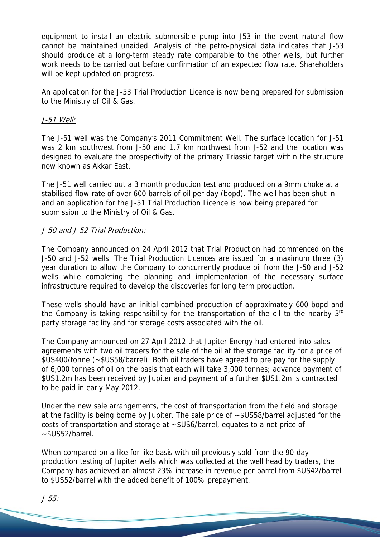equipment to install an electric submersible pump into J53 in the event natural flow cannot be maintained unaided. Analysis of the petro-physical data indicates that J-53 should produce at a long-term steady rate comparable to the other wells, but further work needs to be carried out before confirmation of an expected flow rate. Shareholders will be kept updated on progress.

An application for the J-53 Trial Production Licence is now being prepared for submission to the Ministry of Oil & Gas.

#### J-51 Well:

The J-51 well was the Company's 2011 Commitment Well. The surface location for J-51 was 2 km southwest from J-50 and 1.7 km northwest from J-52 and the location was designed to evaluate the prospectivity of the primary Triassic target within the structure now known as Akkar East.

The J-51 well carried out a 3 month production test and produced on a 9mm choke at a stabilised flow rate of over 600 barrels of oil per day (bopd). The well has been shut in and an application for the J-51 Trial Production Licence is now being prepared for submission to the Ministry of Oil & Gas.

#### J-50 and J-52 Trial Production:

The Company announced on 24 April 2012 that Trial Production had commenced on the J-50 and J-52 wells. The Trial Production Licences are issued for a maximum three (3) year duration to allow the Company to concurrently produce oil from the J-50 and J-52 wells while completing the planning and implementation of the necessary surface infrastructure required to develop the discoveries for long term production.

These wells should have an initial combined production of approximately 600 bopd and the Company is taking responsibility for the transportation of the oil to the nearby 3<sup>rd</sup> party storage facility and for storage costs associated with the oil.

The Company announced on 27 April 2012 that Jupiter Energy had entered into sales agreements with two oil traders for the sale of the oil at the storage facility for a price of \$US400/tonne (~\$US58/barrel). Both oil traders have agreed to pre pay for the supply of 6,000 tonnes of oil on the basis that each will take 3,000 tonnes; advance payment of \$US1.2m has been received by Jupiter and payment of a further \$US1.2m is contracted to be paid in early May 2012.

Under the new sale arrangements, the cost of transportation from the field and storage at the facility is being borne by Jupiter. The sale price of ~\$US58/barrel adjusted for the costs of transportation and storage at ~\$US6/barrel, equates to a net price of ~\$US52/barrel.

When compared on a like for like basis with oil previously sold from the 90-day production testing of Jupiter wells which was collected at the well head by traders, the Company has achieved an almost 23% increase in revenue per barrel from \$US42/barrel to \$US52/barrel with the added benefit of 100% prepayment.

J-55: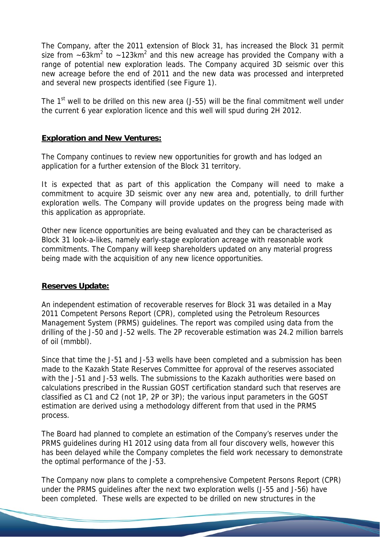The Company, after the 2011 extension of Block 31, has increased the Block 31 permit size from  $\sim$ 63km<sup>2</sup> to  $\sim$ 123km<sup>2</sup> and this new acreage has provided the Company with a range of potential new exploration leads. The Company acquired 3D seismic over this new acreage before the end of 2011 and the new data was processed and interpreted and several new prospects identified (see Figure 1).

The  $1<sup>st</sup>$  well to be drilled on this new area (J-55) will be the final commitment well under the current 6 year exploration licence and this well will spud during 2H 2012.

# **Exploration and New Ventures:**

The Company continues to review new opportunities for growth and has lodged an application for a further extension of the Block 31 territory.

It is expected that as part of this application the Company will need to make a commitment to acquire 3D seismic over any new area and, potentially, to drill further exploration wells. The Company will provide updates on the progress being made with this application as appropriate.

Other new licence opportunities are being evaluated and they can be characterised as Block 31 look-a-likes, namely early-stage exploration acreage with reasonable work commitments. The Company will keep shareholders updated on any material progress being made with the acquisition of any new licence opportunities.

# **Reserves Update:**

An independent estimation of recoverable reserves for Block 31 was detailed in a May 2011 Competent Persons Report (CPR), completed using the Petroleum Resources Management System (PRMS) guidelines. The report was compiled using data from the drilling of the J-50 and J-52 wells. The 2P recoverable estimation was 24.2 million barrels of oil (mmbbl).

Since that time the J-51 and J-53 wells have been completed and a submission has been made to the Kazakh State Reserves Committee for approval of the reserves associated with the J-51 and J-53 wells. The submissions to the Kazakh authorities were based on calculations prescribed in the Russian GOST certification standard such that reserves are classified as C1 and C2 (not 1P, 2P or 3P); the various input parameters in the GOST estimation are derived using a methodology different from that used in the PRMS process.

The Board had planned to complete an estimation of the Company's reserves under the PRMS guidelines during H1 2012 using data from all four discovery wells, however this has been delayed while the Company completes the field work necessary to demonstrate the optimal performance of the J-53.

The Company now plans to complete a comprehensive Competent Persons Report (CPR) under the PRMS guidelines after the next two exploration wells (J-55 and J-56) have been completed. These wells are expected to be drilled on new structures in the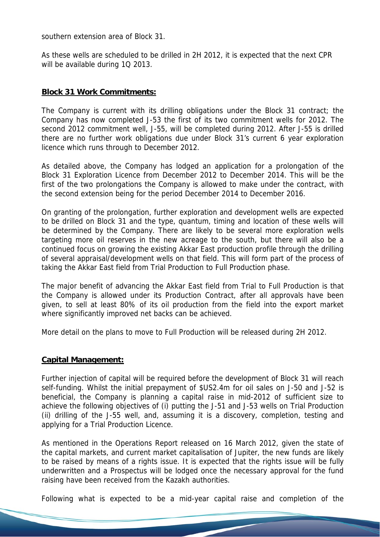southern extension area of Block 31.

As these wells are scheduled to be drilled in 2H 2012, it is expected that the next CPR will be available during 1Q 2013.

### **Block 31 Work Commitments:**

The Company is current with its drilling obligations under the Block 31 contract; the Company has now completed J-53 the first of its two commitment wells for 2012. The second 2012 commitment well, J-55, will be completed during 2012. After J-55 is drilled there are no further work obligations due under Block 31's current 6 year exploration licence which runs through to December 2012.

As detailed above, the Company has lodged an application for a prolongation of the Block 31 Exploration Licence from December 2012 to December 2014. This will be the first of the two prolongations the Company is allowed to make under the contract, with the second extension being for the period December 2014 to December 2016.

On granting of the prolongation, further exploration and development wells are expected to be drilled on Block 31 and the type, quantum, timing and location of these wells will be determined by the Company. There are likely to be several more exploration wells targeting more oil reserves in the new acreage to the south, but there will also be a continued focus on growing the existing Akkar East production profile through the drilling of several appraisal/development wells on that field. This will form part of the process of taking the Akkar East field from Trial Production to Full Production phase.

The major benefit of advancing the Akkar East field from Trial to Full Production is that the Company is allowed under its Production Contract, after all approvals have been given, to sell at least 80% of its oil production from the field into the export market where significantly improved net backs can be achieved.

More detail on the plans to move to Full Production will be released during 2H 2012.

### **Capital Management:**

Further injection of capital will be required before the development of Block 31 will reach self-funding. Whilst the initial prepayment of \$US2.4m for oil sales on J-50 and J-52 is beneficial, the Company is planning a capital raise in mid-2012 of sufficient size to achieve the following objectives of (i) putting the J-51 and J-53 wells on Trial Production (ii) drilling of the J-55 well, and, assuming it is a discovery, completion, testing and applying for a Trial Production Licence.

As mentioned in the Operations Report released on 16 March 2012, given the state of the capital markets, and current market capitalisation of Jupiter, the new funds are likely to be raised by means of a rights issue. It is expected that the rights issue will be fully underwritten and a Prospectus will be lodged once the necessary approval for the fund raising have been received from the Kazakh authorities.

Following what is expected to be a mid-year capital raise and completion of the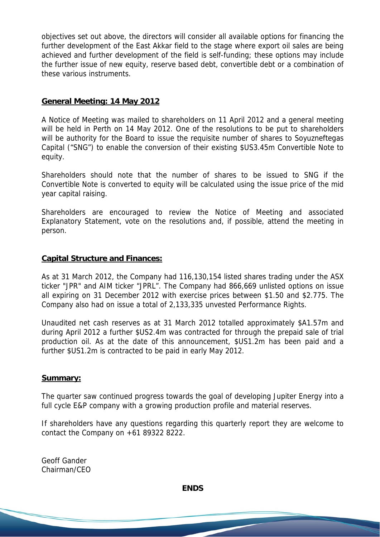objectives set out above, the directors will consider all available options for financing the further development of the East Akkar field to the stage where export oil sales are being achieved and further development of the field is self-funding; these options may include the further issue of new equity, reserve based debt, convertible debt or a combination of these various instruments.

### **General Meeting: 14 May 2012**

A Notice of Meeting was mailed to shareholders on 11 April 2012 and a general meeting will be held in Perth on 14 May 2012. One of the resolutions to be put to shareholders will be authority for the Board to issue the requisite number of shares to Soyuzneftegas Capital ("SNG") to enable the conversion of their existing \$US3.45m Convertible Note to equity.

Shareholders should note that the number of shares to be issued to SNG if the Convertible Note is converted to equity will be calculated using the issue price of the mid year capital raising.

Shareholders are encouraged to review the Notice of Meeting and associated Explanatory Statement, vote on the resolutions and, if possible, attend the meeting in person.

#### **Capital Structure and Finances:**

As at 31 March 2012, the Company had 116,130,154 listed shares trading under the ASX ticker "JPR" and AIM ticker "JPRL". The Company had 866,669 unlisted options on issue all expiring on 31 December 2012 with exercise prices between \$1.50 and \$2.775. The Company also had on issue a total of 2,133,335 unvested Performance Rights.

Unaudited net cash reserves as at 31 March 2012 totalled approximately \$A1.57m and during April 2012 a further \$US2.4m was contracted for through the prepaid sale of trial production oil. As at the date of this announcement, \$US1.2m has been paid and a further \$US1.2m is contracted to be paid in early May 2012.

#### **Summary:**

The quarter saw continued progress towards the goal of developing Jupiter Energy into a full cycle E&P company with a growing production profile and material reserves.

If shareholders have any questions regarding this quarterly report they are welcome to contact the Company on +61 89322 8222.

Geoff Gander Chairman/CEO

**ENDS**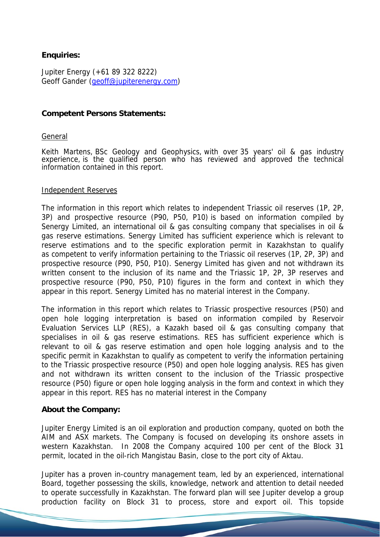# **Enquiries:**

Jupiter Energy (+61 89 322 8222) Geoff Gander (geoff@jupiterenergy.com)

#### **Competent Persons Statements:**

#### General

Keith Martens, BSc Geology and Geophysics, with over 35 years' oil & gas industry experience, is the qualified person who has reviewed and approved the technical information contained in this report.

#### Independent Reserves

The information in this report which relates to independent Triassic oil reserves (1P, 2P, 3P) and prospective resource (P90, P50, P10) is based on information compiled by Senergy Limited, an international oil & gas consulting company that specialises in oil & gas reserve estimations. Senergy Limited has sufficient experience which is relevant to reserve estimations and to the specific exploration permit in Kazakhstan to qualify as competent to verify information pertaining to the Triassic oil reserves (1P, 2P, 3P) and prospective resource (P90, P50, P10). Senergy Limited has given and not withdrawn its written consent to the inclusion of its name and the Triassic 1P, 2P, 3P reserves and prospective resource (P90, P50, P10) figures in the form and context in which they appear in this report. Senergy Limited has no material interest in the Company.

The information in this report which relates to Triassic prospective resources (P50) and open hole logging interpretation is based on information compiled by Reservoir Evaluation Services LLP (RES), a Kazakh based oil & gas consulting company that specialises in oil & gas reserve estimations. RES has sufficient experience which is relevant to oil & gas reserve estimation and open hole logging analysis and to the specific permit in Kazakhstan to qualify as competent to verify the information pertaining to the Triassic prospective resource (P50) and open hole logging analysis. RES has given and not withdrawn its written consent to the inclusion of the Triassic prospective resource (P50) figure or open hole logging analysis in the form and context in which they appear in this report. RES has no material interest in the Company

### **About the Company:**

Jupiter Energy Limited is an oil exploration and production company, quoted on both the AIM and ASX markets. The Company is focused on developing its onshore assets in western Kazakhstan. In 2008 the Company acquired 100 per cent of the Block 31 permit, located in the oil-rich Mangistau Basin, close to the port city of Aktau.

Jupiter has a proven in-country management team, led by an experienced, international Board, together possessing the skills, knowledge, network and attention to detail needed to operate successfully in Kazakhstan. The forward plan will see Jupiter develop a group production facility on Block 31 to process, store and export oil. This topside